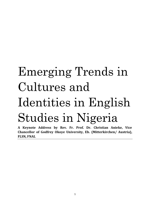## Emerging Trends in Cultures and Identities in English Studies in Nigeria

**A Keynote Address by Rev. Fr. Prof. Dr. Christian Anieke, Vice Chancellor of Godfrey Okoye University, Eb. (Mitterkirchen/ Austria), FLSN, FNAL**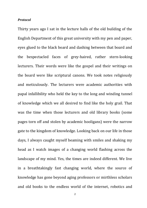## *Protocol*

Thirty years ago I sat in the lecture halls of the old building of the English Department of this great university with my pen and paper, eyes glued to the black board and dashing between that board and the bespectacled faces of grey-haired, rather stern-looking lecturers. Their words were like the gospel and their writings on the board were like scriptural canons. We took notes religiously and meticulously. The lecturers were academic authorities with papal infallibility who held the key to the long and winding tunnel of knowledge which we all desired to find like the holy grail. That was the time when those lecturers and old library books (some pages torn off and stolen by academic hooligans) were the narrow gate to the kingdom of knowledge. Looking back on our life in those days, I always caught myself beaming with smiles and shaking my head as I watch images of a changing world flashing across the landscape of my mind. Yes, the times are indeed different. We live in a breathtakingly fast changing world, where the source of knowledge has gone beyond aging professors or mirthless scholars and old books to the endless world of the internet, robotics and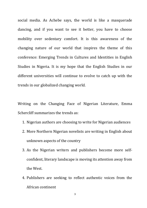social media. As Achebe says, the world is like a masquerade dancing, and if you want to see it better, you have to choose mobility over sedentary comfort. It is this awareness of the changing nature of our world that inspires the theme of this conference: Emerging Trends in Cultures and Identities in English Studies in Nigeria. It is my hope that the English Studies in our different universities will continue to evolve to catch up with the trends in our globalized changing world.

Writing on the Changing Face of Nigerian Literature, Emma Schercliff summarizes the trends as:

- 1. Nigerian authors are choosing to write for Nigerian audiences
- 2. More Northern Nigerian novelists are writing in English about unknown aspects of the country
- 3. As the Nigerian writers and publishers become more selfconfident, literary landscape is moving its attention away from the West.
- 4. Publishers are seeking to reflect authentic voices from the African continent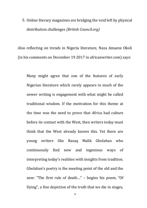5. Online literary magazines are bridging the void left by physical distribution challenges *(British Council.org)*

Also reflecting on trends in Nigeria literature, Naza Amaeze Okoli (in his comments on December 19 2017 in africanwriter.com) says:

Many might agree that one of the features of early Nigerian literature which rarely appears in much of the newer writing is engagement with what might be called traditional wisdom. If the motivation for this theme at the time was the need to prove that Africa had culture before its contact with the West, then writers today must think that the West already knows this. Yet there are young writers like Rasaq Malik Gbolahan who continuously find new and ingenious ways of interpreting today's realities with insights from tradition. Gbolahan's poetry is the meeting point of the old and the new: "The first rule of death…" – begins his poem, "Of Dying", a fine depiction of the truth that we die in stages,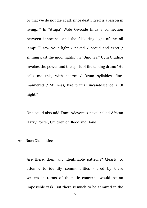or that we do not die at all, since death itself is a lesson in living...." In "Atupa" Wale Owoade finds a connection between innocence and the flickering light of the oil lamp: "I saw your light / naked / proud and erect / shining past the moonlights." In "Omo Iya," Oyin Oludipe invokes the power and the spirit of the talking drum: "He calls me this, with coarse / Drum syllables, finemannered / Stillness, like primal incandescence / Of night."

One could also add Tomi Adeyemi's novel called African Harry Porter, Children of Blood and Bone.

And Naza Okoli asks:

Are there, then, any identifiable patterns? Clearly, to attempt to identify commonalities shared by these writers in terms of thematic concerns would be an impossible task. But there is much to be admired in the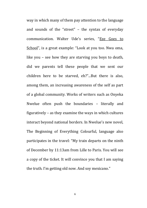way in which many of them pay attention to the language and sounds of the "street" – the syntax of everyday communication. Walter Ude's series, "Eze Goes to School", is a great example: "Look at you too. Nwa oma, like you – see how they are starving you boys to death, did we parents tell these people that we sent our children here to be starved, eh?"...But there is also, among them, an increasing awareness of the self as part of a global community. Works of writers such as Onyeka Nwelue often push the boundaries – literally and figuratively – as they examine the ways in which cultures interact beyond national borders. In Nwelue's new novel, The Beginning of Everything Colourful, language also participates in the travel: "My train departs on the ninth of December by 11:13am from Lille to Paris. You will see a copy of the ticket. It will convince you that I am saying the truth. I'm getting old now. And soy mexicano."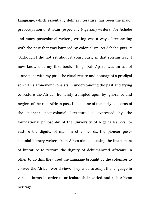Language, which essentially defines literature, has been the major preoccupation of African (especially Nigerian) writers. For Achebe and many postcolonial writers, writing was a way of reconciling with the past that was battered by colonialism. As Achebe puts it: "Although I did not set about it consciously in that solemn way, I now know that my first book, Things Fall Apart, was an act of atonement with my past, the ritual return and homage of a prodigal son." This atonement consists in understanding the past and trying to restore the African humanity trampled upon by ignorance and neglect of the rich African past. In fact, one of the early concerns of the pioneer post-colonial literature is expressed by the foundational philosophy of the University of Nigeria Nsukka: to restore the dignity of man. In other words, the pioneer post– colonial literary writers from Africa aimed at using the instrument of literature to restore the dignity of dehumanized Africans. In other to do this, they used the language brought by the coloniser to convey the African world view. They tried to adapt the language in various forms in order to articulate their varied and rich African heritage.

7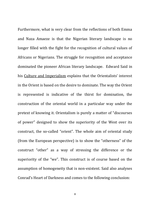Furthermore, what is very clear from the reflections of both Emma and Naza Amaeze is that the Nigerian literary landscape is no longer filled with the fight for the recognition of cultural values of Africans or Nigerians. The struggle for recognition and acceptance dominated the pioneer African literary landscape. Edward Said in his Culture and Imperialism explains that the Orientalists' interest in the Orient is based on the desire to dominate. The way the Orient is represented is indicative of the thirst for domination, the construction of the oriental world in a particular way under the pretext of knowing it. Orientalism is purely a matter of "discourses of power" designed to show the superiority of the West over its construct, the so-called "orient". The whole aim of oriental study (from the European perspective) is to show the "otherness" of the construct "other" as a way of stressing the difference or the superiority of the "we". This construct is of course based on the assumption of homogeneity that is non-existent. Said also analyses Conrad's Heart of Darkness and comes to the following conclusion: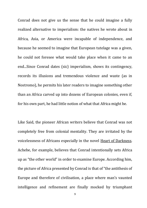Conrad does not give us the sense that he could imagine a fully realized alternative to imperialism: the natives he wrote about in Africa, Asia, or America were incapable of independence, and because he seemed to imagine that European tutelage was a given, he could not foresee what would take place when it came to an end...Since Conrad dates (sic) imperialism, shows its contingency, records its illusions and tremendous violence and waste (as in Nostromo), he permits his later readers to imagine something other than an Africa carved up into dozens of European colonies, even if, for his own part, he had little notion of what that Africa might be.

Like Said, the pioneer African writers believe that Conrad was not completely free from colonial mentality. They are irritated by the voicelessness of Africans especially in the novel Heart of Darkness. Achebe, for example, believes that Conrad intentionally sets Africa up as "the other world" in order to examine Europe. According him, the picture of Africa presented by Conrad is that of "the antithesis of Europe and therefore of civilisation, a place where man's vaunted intelligence and refinement are finally mocked by triumphant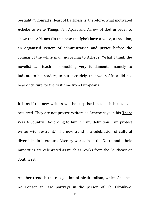bestiality". Conrad's Heart of Darkness is, therefore, what motivated Achebe to write Things Fall Apart and Arrow of God in order to show that Africans (in this case the Igbo) have a voice, a tradition, an organised system of administration and justice before the coming of the white man. According to Achebe, "What I think the novelist can teach is something very fundamental, namely to indicate to his readers, to put it crudely, that we in Africa did not hear of culture for the first time from Europeans."

It is as if the new writers will be surprised that such issues ever occurred. They are not protest writers as Achebe says in his There Was A Country. According to him, "In my definition I am protest writer with restraint." The new trend is a celebration of cultural diversities in literature. Literary works from the North and ethnic minorities are celebrated as much as works from the Southeast or Southwest.

Another trend is the recognition of biculturalism, which Achebe's No Longer at Ease portrays in the person of Obi Okonkwo.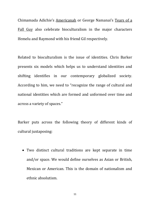Chimamada Adichie's Americanah or George Namanai's Tears of a Fall Guy also celebrate bioculturalism in the major characters Ifemelu and Raymond with his friend Gil respectively.

Related to bioculturalism is the issue of identities. Chris Barker presents six models which helps us to understand identities and shifting identifies in our contemporary globalized society. According to him, we need to "recognize the range of cultural and national identities which are formed and unformed over time and across a variety of spaces."

Barker puts across the following theory of different kinds of cultural juxtaposing:

 Two distinct cultural traditions are kept separate in time and/or space. We would define ourselves as Asian or British, Mexican or American. This is the domain of nationalism and ethnic absolutism.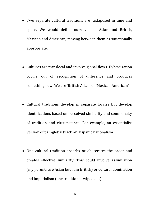- Two separate cultural traditions are juxtaposed in time and space. We would define ourselves as Asian and British, Mexican and American, moving between them as situationally appropriate.
- Cultures are translocal and involve global flows. Hybridization occurs out of recognition of difference and produces something new. We are 'British Asian' or 'Mexican American'.
- Cultural traditions develop in separate locales but develop identifications based on perceived similarity and commonalty of tradition and circumstance. For example, an essentialist version of pan-global black or Hispanic nationalism.
- One cultural tradition absorbs or obliterates the order and creates effective similarity. This could involve assimilation (my parents are Asian but I am British) or cultural domination and imperialism (one tradition is wiped out).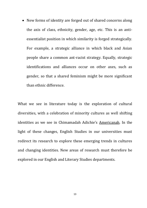• New forms of identity are forged out of shared concerns along the axis of class, ethnicity, gender, age, etc. This is an antiessentialist position in which similarity is forged strategically. For example, a strategic alliance in which black and Asian people share a common ant-racist strategy. Equally, strategic identifications and alliances occur on other axes, such as gender, so that a shared feminism might be more significant than ethnic difference.

What we see in literature today is the exploration of cultural diversities, with a celebration of minority cultures as well shifting identities as we see in Chimamadah Adichie's Americanah. In the light of these changes, English Studies in our universities must redirect its research to explore these emerging trends in cultures and changing identities. New areas of research must therefore be explored in our English and Literary Studies departments.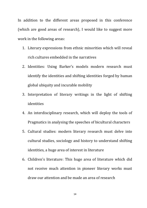In addition to the different areas proposed in this conference (which are good areas of research), I would like to suggest more work in the following areas:

- 1. Literary expressions from ethnic minorities which will reveal rich cultures embedded in the narratives
- 2. Identities: Using Barker's models modern research must identify the identities and shifting identities forged by human global ubiquity and incurable mobility
- 3. Interpretation of literary writings in the light of shifting identities
- 4. An interdisciplinary research, which will deploy the tools of Pragmatics in analysing the speeches of bicultural characters
- 5. Cultural studies: modern literary research must delve into cultural studies, sociology and history to understand shifting identities, a huge area of interest in literature
- 6. Children's literature: This huge area of literature which did not receive much attention in pioneer literary works must draw our attention and be made an area of research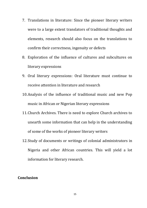- 7. Translations in literature: Since the pioneer literary writers were to a large extent translators of traditional thoughts and elements, research should also focus on the translations to confirm their correctness, ingenuity or defects
- 8. Exploration of the influence of cultures and subcultures on literary expressions
- 9. Oral literary expressions: Oral literature must continue to receive attention in literature and research
- 10.Analysis of the influence of traditional music and new Pop music in African or Nigerian literary expressions
- 11.Church Archives. There is need to explore Church archives to unearth some information that can help in the understanding of some of the works of pioneer literary writers
- 12.Study of documents or writings of colonial administrators in Nigeria and other African countries. This will yield a lot information for literary research.

## **Conclusion**